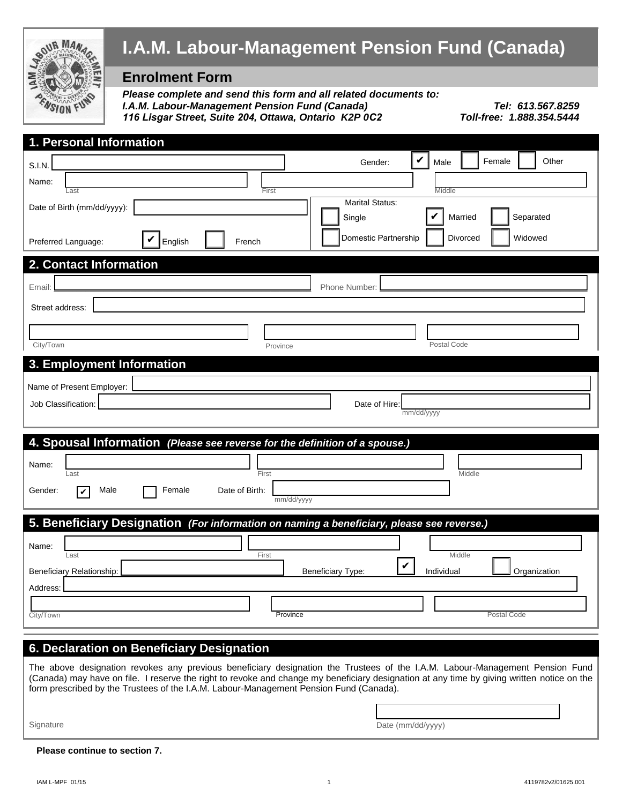

### **6. Declaration on Beneficiary Designation**

The above designation revokes any previous beneficiary designation the Trustees of the I.A.M. Labour-Management Pension Fund (Canada) may have on file. I reserve the right to revoke and change my beneficiary designation at any time by giving written notice on the form prescribed by the Trustees of the I.A.M. Labour-Management Pension Fund (Canada).

Signature **Date (mm/dd/yyyy)** Date (mm/dd/yyyy)

#### **Please continue to section 7.**